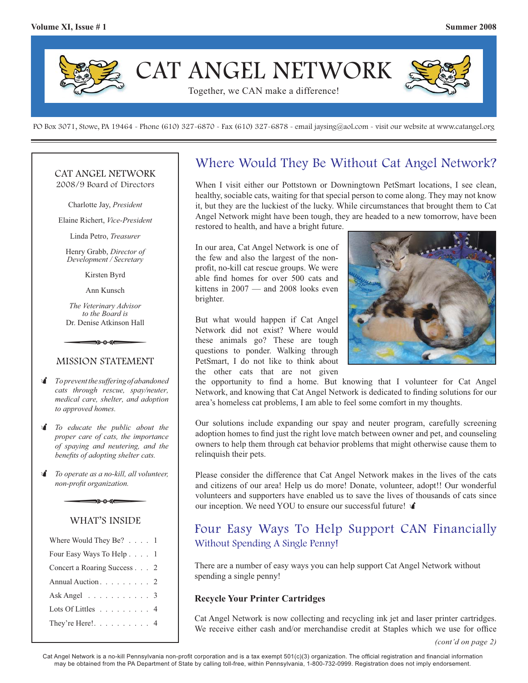

PO Box 3071, Stowe, PA 19464 - Phone (610) 327-6870 - Fax (610) 327-6878 - email jaysing@aol.com - visit our website at www.catangel.org

#### CAT ANGEL NETWORK 2008/9 Board of Directors

Charlotte Jay, *President*

Elaine Richert, *Vice-President*

Linda Petro, *Treasurer*

Henry Grabb, *Director of Development / Secretary*

Kirsten Byrd

Ann Kunsch

*The Veterinary Advisor to the Board is*  Dr. Denise Atkinson Hall Exercise Byrd<br>Kirsten Byrd<br>Ann Kunsch<br>The Veterinary Advisor<br>to the Board is<br>Dr. Denise Atkinson Hall

#### MISSION STATEMENT

- *To prevent the suffering of abandoned cats through rescue, spay/neuter, medical care, shelter, and adoption to approved homes.*
- *To educate the public about the proper care of cats, the importance of spaying and neutering, and the benefits of adopting shelter cats.*<br> *To operate as a no-kill, all volunteer, non-profit organization. proper care of cats, the importance of spaying and neutering, and the benefits of adopting shelter cats.*
- *To operate as a no-kill, all volunteer, non-profi t organization.*

### WHAT'S INSIDE

| Where Would They Be? $\ldots$ 1    |  |
|------------------------------------|--|
| Four Easy Ways To Help 1           |  |
| Concert a Roaring Success 2        |  |
| Annual Auction. 2                  |  |
| Ask Angel $\ldots \ldots \ldots$ 3 |  |
| Lots Of Littles 4                  |  |
| They're Here!. 4                   |  |

### Where Would They Be Without Cat Angel Network?

When I visit either our Pottstown or Downingtown PetSmart locations, I see clean, healthy, sociable cats, waiting for that special person to come along. They may not know it, but they are the luckiest of the lucky. While circumstances that brought them to Cat Angel Network might have been tough, they are headed to a new tomorrow, have been restored to health, and have a bright future.

In our area, Cat Angel Network is one of the few and also the largest of the nonprofit, no-kill cat rescue groups. We were able find homes for over 500 cats and kittens in 2007 — and 2008 looks even brighter.

But what would happen if Cat Angel Network did not exist? Where would these animals go? These are tough questions to ponder. Walking through PetSmart, I do not like to think about the other cats that are not given



the opportunity to find a home. But knowing that I volunteer for Cat Angel Network, and knowing that Cat Angel Network is dedicated to finding solutions for our area's homeless cat problems, I am able to feel some comfort in my thoughts.

Our solutions include expanding our spay and neuter program, carefully screening adoption homes to find just the right love match between owner and pet, and counseling owners to help them through cat behavior problems that might otherwise cause them to relinquish their pets.

Please consider the difference that Cat Angel Network makes in the lives of the cats and citizens of our area! Help us do more! Donate, volunteer, adopt!! Our wonderful volunteers and supporters have enabled us to save the lives of thousands of cats since our inception. We need YOU to ensure our successful future!

### Four Easy Ways To Help Support CAN Financially Without Spending A Single Penny!

There are a number of easy ways you can help support Cat Angel Network without spending a single penny!

#### **Recycle Your Printer Cartridges**

Cat Angel Network is now collecting and recycling ink jet and laser printer cartridges. We receive either cash and/or merchandise credit at Staples which we use for office

Cat Angel Network is a no-kill Pennsylvania non-profit corporation and is a tax exempt 501(c)(3) organization. The official registration and financial information may be obtained from the PA Department of State by calling toll-free, within Pennsylvania, 1-800-732-0999. Registration does not imply endorsement.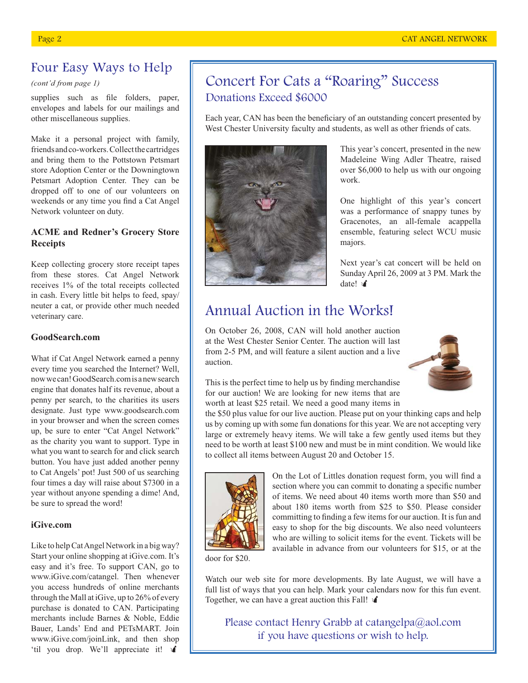## Four Easy Ways to Help

*(cont'd from page 1)*

supplies such as file folders, paper, envelopes and labels for our mailings and other miscellaneous supplies.

Make it a personal project with family, friends and co-workers. Collect the cartridges and bring them to the Pottstown Petsmart store Adoption Center or the Downingtown Petsmart Adoption Center. They can be dropped off to one of our volunteers on weekends or any time you find a Cat Angel Network volunteer on duty.

### **ACME and Redner's Grocery Store Receipts**

Keep collecting grocery store receipt tapes from these stores. Cat Angel Network receives 1% of the total receipts collected in cash. Every little bit helps to feed, spay/ neuter a cat, or provide other much needed veterinary care.

### **GoodSearch.com**

What if Cat Angel Network earned a penny every time you searched the Internet? Well, now we can! GoodSearch.com is a new search engine that donates half its revenue, about a penny per search, to the charities its users designate. Just type www.goodsearch.com in your browser and when the screen comes up, be sure to enter "Cat Angel Network" as the charity you want to support. Type in what you want to search for and click search button. You have just added another penny to Cat Angels' pot! Just 500 of us searching four times a day will raise about \$7300 in a year without anyone spending a dime! And, be sure to spread the word!

#### **iGive.com**

Like to help Cat Angel Network in a big way? Start your online shopping at iGive.com. It's easy and it's free. To support CAN, go to www.iGive.com/catangel. Then whenever you access hundreds of online merchants through the Mall at iGive, up to 26% of every purchase is donated to CAN. Participating merchants include Barnes & Noble, Eddie Bauer, Lands' End and PETsMART. Join www.iGive.com/joinLink, and then shop 'til you drop. We'll appreciate it!

# Concert For Cats a "Roaring" Success Donations Exceed \$6000

Each year, CAN has been the beneficiary of an outstanding concert presented by West Chester University faculty and students, as well as other friends of cats.



This year's concert, presented in the new Madeleine Wing Adler Theatre, raised over \$6,000 to help us with our ongoing work.

One highlight of this year's concert was a performance of snappy tunes by Gracenotes, an all-female acappella ensemble, featuring select WCU music majors.

Next year's cat concert will be held on Sunday April 26, 2009 at 3 PM. Mark the date! v

# Annual Auction in the Works!

On October 26, 2008, CAN will hold another auction at the West Chester Senior Center. The auction will last from 2-5 PM, and will feature a silent auction and a live auction.



This is the perfect time to help us by finding merchandise for our auction! We are looking for new items that are worth at least \$25 retail. We need a good many items in

the \$50 plus value for our live auction. Please put on your thinking caps and help us by coming up with some fun donations for this year. We are not accepting very large or extremely heavy items. We will take a few gently used items but they need to be worth at least \$100 new and must be in mint condition. We would like to collect all items between August 20 and October 15.



On the Lot of Littles donation request form, you will find a section where you can commit to donating a specific number of items. We need about 40 items worth more than \$50 and about 180 items worth from \$25 to \$50. Please consider committing to finding a few items for our auction. It is fun and easy to shop for the big discounts. We also need volunteers who are willing to solicit items for the event. Tickets will be available in advance from our volunteers for \$15, or at the

door for \$20.

Watch our web site for more developments. By late August, we will have a full list of ways that you can help. Mark your calendars now for this fun event. Together, we can have a great auction this Fall!

Please contact Henry Grabb at catangelpa@aol.com if you have questions or wish to help.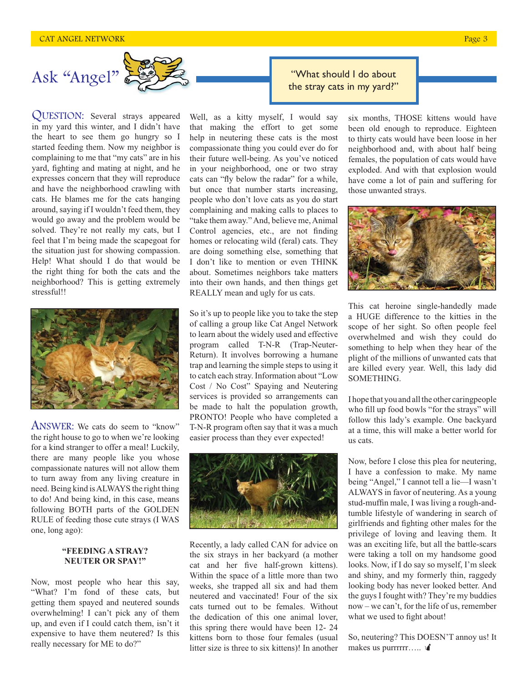

QUESTION: Several strays appeared in my yard this winter, and I didn't have the heart to see them go hungry so I started feeding them. Now my neighbor is complaining to me that "my cats" are in his yard, fighting and mating at night, and he expresses concern that they will reproduce and have the neighborhood crawling with cats. He blames me for the cats hanging around, saying if I wouldn't feed them, they would go away and the problem would be solved. They're not really my cats, but I feel that I'm being made the scapegoat for the situation just for showing compassion. Help! What should I do that would be the right thing for both the cats and the neighborhood? This is getting extremely stressful!!



ANSWER: We cats do seem to "know" the right house to go to when we're looking for a kind stranger to offer a meal! Luckily, there are many people like you whose compassionate natures will not allow them to turn away from any living creature in need. Being kind is ALWAYS the right thing to do! And being kind, in this case, means following BOTH parts of the GOLDEN RULE of feeding those cute strays (I WAS one, long ago):

#### **"FEEDING A STRAY? NEUTER OR SPAY!"**

Now, most people who hear this say, "What? I'm fond of these cats, but getting them spayed and neutered sounds overwhelming! I can't pick any of them up, and even if I could catch them, isn't it expensive to have them neutered? Is this really necessary for ME to do?"

Well, as a kitty myself, I would say that making the effort to get some help in neutering these cats is the most compassionate thing you could ever do for their future well-being. As you've noticed in your neighborhood, one or two stray cats can "fly below the radar" for a while, but once that number starts increasing, people who don't love cats as you do start complaining and making calls to places to "take them away." And, believe me, Animal Control agencies, etc., are not finding homes or relocating wild (feral) cats. They are doing something else, something that I don't like to mention or even THINK about. Sometimes neighbors take matters into their own hands, and then things get REALLY mean and ugly for us cats.

So it's up to people like you to take the step of calling a group like Cat Angel Network to learn about the widely used and effective program called T-N-R (Trap-Neuter-Return). It involves borrowing a humane trap and learning the simple steps to using it to catch each stray. Information about "Low Cost / No Cost" Spaying and Neutering services is provided so arrangements can be made to halt the population growth, PRONTO! People who have completed a T-N-R program often say that it was a much easier process than they ever expected!



Recently, a lady called CAN for advice on the six strays in her backyard (a mother cat and her five half-grown kittens). Within the space of a little more than two weeks, she trapped all six and had them neutered and vaccinated! Four of the six cats turned out to be females. Without the dedication of this one animal lover, this spring there would have been 12- 24 kittens born to those four females (usual litter size is three to six kittens)! In another

"What should I do about

six months, THOSE kittens would have been old enough to reproduce. Eighteen to thirty cats would have been loose in her neighborhood and, with about half being females, the population of cats would have exploded. And with that explosion would have come a lot of pain and suffering for those unwanted strays.



This cat heroine single-handedly made a HUGE difference to the kitties in the scope of her sight. So often people feel overwhelmed and wish they could do something to help when they hear of the plight of the millions of unwanted cats that are killed every year. Well, this lady did SOMETHING.

I hope that you and all the other caringpeople who fill up food bowls "for the strays" will follow this lady's example. One backyard at a time, this will make a better world for us cats.

Now, before I close this plea for neutering, I have a confession to make. My name being "Angel," I cannot tell a lie—I wasn't ALWAYS in favor of neutering. As a young stud-muffin male, I was living a rough-andtumble lifestyle of wandering in search of girlfriends and fighting other males for the privilege of loving and leaving them. It was an exciting life, but all the battle-scars were taking a toll on my handsome good looks. Now, if I do say so myself, I'm sleek and shiny, and my formerly thin, raggedy looking body has never looked better. And the guys I fought with? They're my buddies now – we can't, for the life of us, remember what we used to fight about!

So, neutering? This DOESN'T annoy us! It makes us purrrrrr.....  $\mathbf{\hat{A}}$